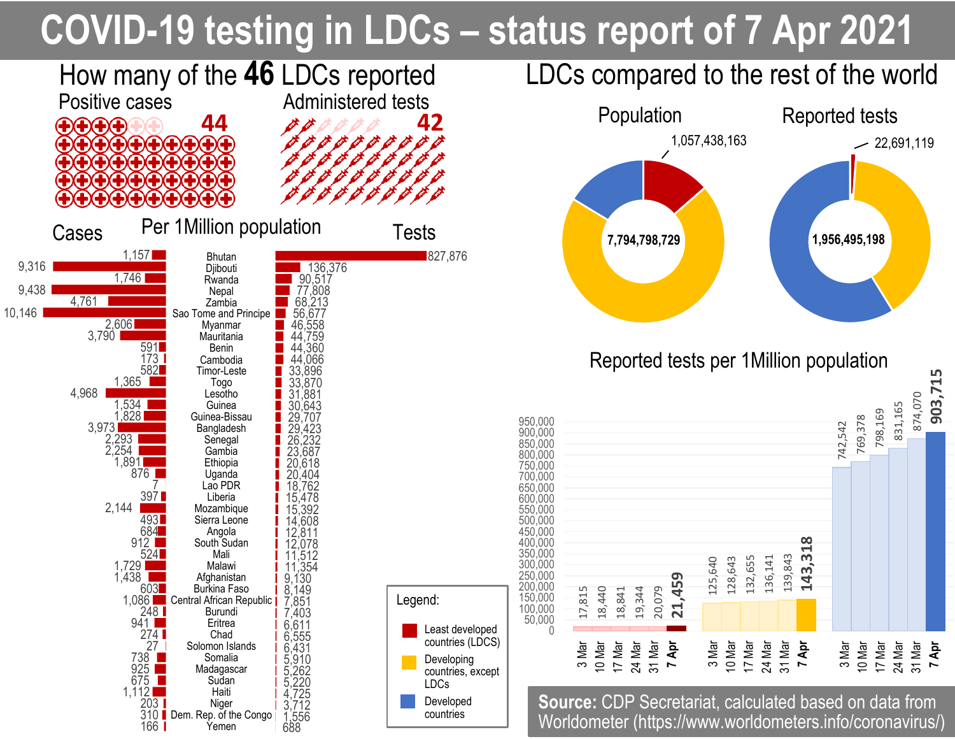## **COVID-19 testing in LDCs – status report of 7 Apr 2021**

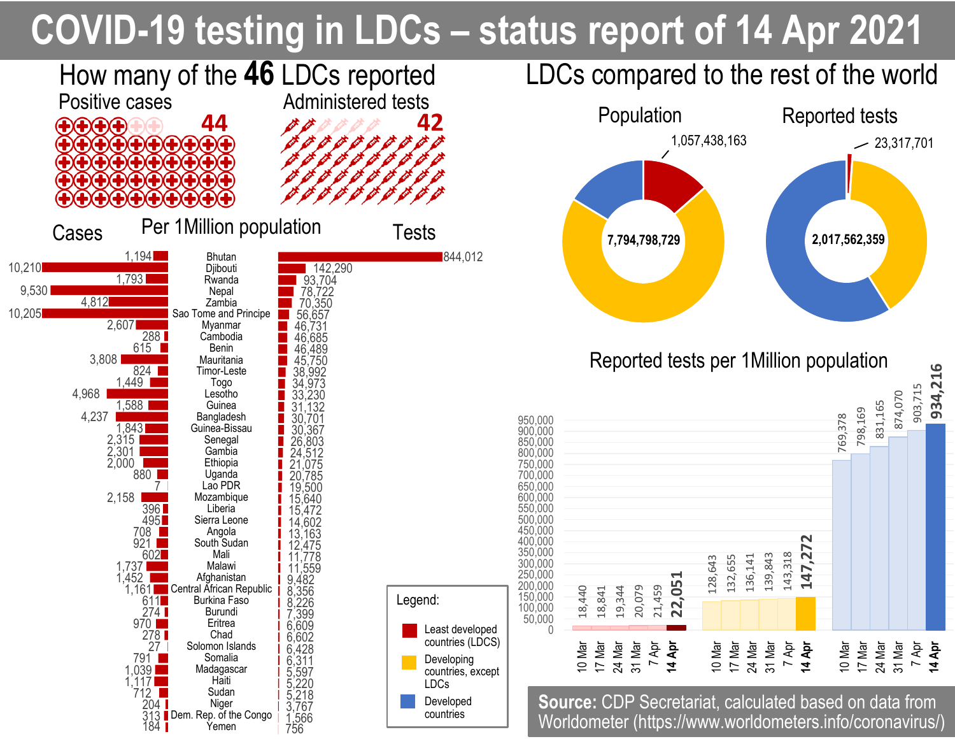## **COVID-19 testing in LDCs – status report of 14 Apr 2021**



903,715

7 Apr **14 Apr**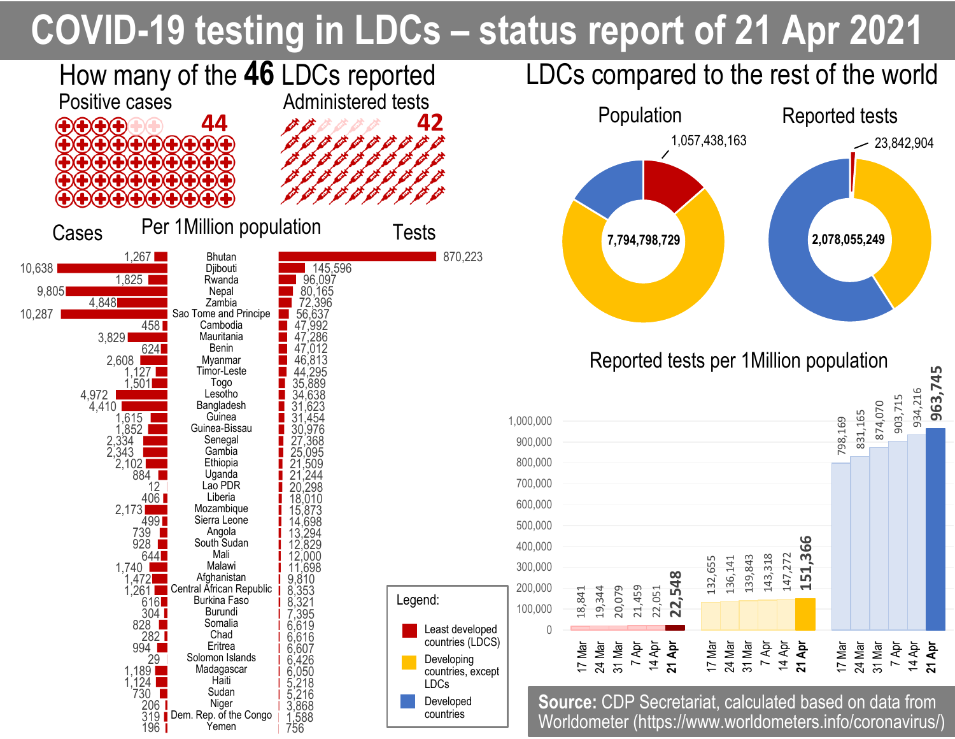## **COVID-19 testing in LDCs – status report of 21 Apr 2021**

23,842,904

831,165

874,070

903,715

7 Apr 14 Apr **21 Apr**

934,216